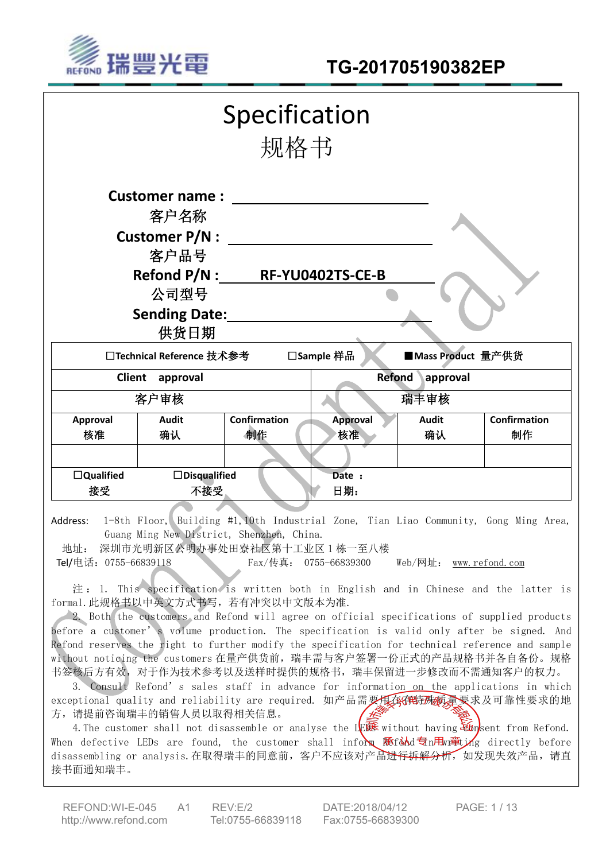

| 规格书                                                                                                       |
|-----------------------------------------------------------------------------------------------------------|
| <b>Customer name:</b>                                                                                     |
| 客户名称                                                                                                      |
| <b>Customer P/N:</b>                                                                                      |
| 客户品号                                                                                                      |
| Refond P/N : RF-YU0402TS-CE-B                                                                             |
| 公司型号                                                                                                      |
| <b>Sending Date:</b>                                                                                      |
| 供货日期                                                                                                      |
| □Technical Reference 技术参考<br>□Sample 样品<br>■Mass Product 量产供货                                             |
| <b>Refond</b><br>Client approval<br>approval                                                              |
| 客户审核<br>瑞丰审核                                                                                              |
| <b>Confirmation</b><br><b>Confirmation</b><br><b>Audit</b><br><b>Audit</b><br>Approval<br><b>Approval</b> |
| 制作<br>制作<br>核准<br>确认<br>确认<br>核准                                                                          |
|                                                                                                           |
| $\Box$ Qualified<br>$\Box$ Disqualified<br>Date :                                                         |
| 日期:<br>接受<br>不接受                                                                                          |

Address: 1-8th Floor, Building #1,10th Industrial Zone, Tian Liao Community, Gong Ming Area, Guang Ming New District, Shenzhen, China.

地址: 深圳市光明新区公明办事处田寮社区第十工业区 1 栋一至八楼

Tel/电话:0755-66839118 Fax/传真: 0755-66839300 Web/网址: [www.refond.com](http://www.refond.com)

注: 1. This specification is written both in English and in Chinese and the latter is formal.此规格书以中英文方式书写,若有冲突以中文版本为准.

2. Both the customers and Refond will agree on official specifications of supplied products before a customer's volume production. The specification is valid only after be signed. And Refond reserves the right to further modify the specification for technical reference and sample without noticing the customers 在量产供货前,瑞丰需与客户签署一份正式的产品规格书并各自备份。规格 书签核后方有效,对于作为技术参考以及送样时提供的规格书,瑞丰保留进一步修改而不需通知客户的权力。

3. Consult Refond's sales staff in advance for information on the applications in which exceptional quality and reliability are required. 如产品需要用在在特殊质量要求及可靠性要求的地 方,请提前咨询瑞丰的销售人员以取得相关信息。

4. The customer shall not disassemble or analyse the LER without having  $\mathcal{E}_{\mathbf{b}}$  ent from Refond. When defective LEDs are found, the customer shall inform  $\mathbb{R}$ fond  $\exists n$   $\mathbb{H}_n$   $\mathbb{R}$  directly before disassembling or analysis.在取得瑞丰的同意前, 客户不应该对产品进<del>行拆解分析,</del> 如发现失效产品, 请直 接书面通知瑞丰。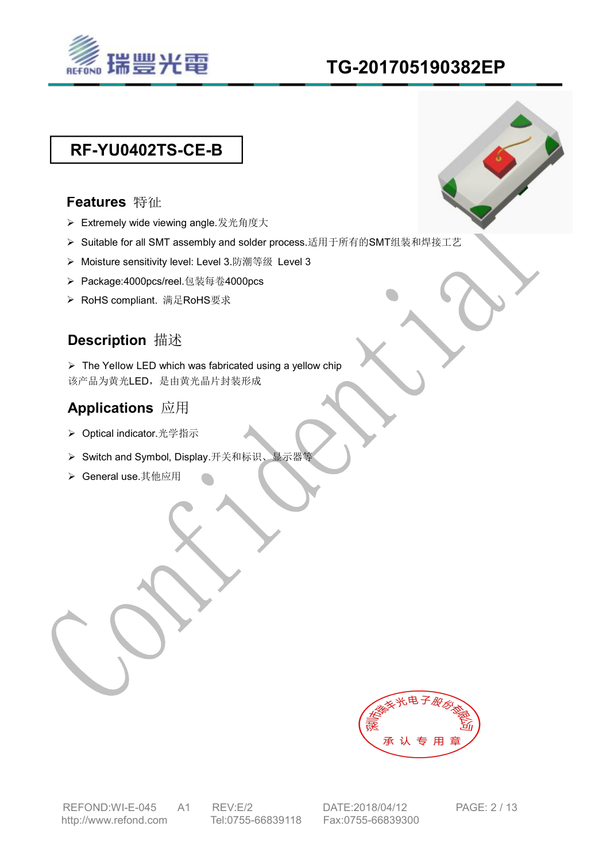

# **TG-201705190382EP**

# **RF-YU0402TS-CE-B**

### **Features** 特征

- ▶ Extremely wide viewing angle.发光角度大
- ▶ Suitable for all SMT assembly and solder process.适用于所有的SMT组装和焊接工艺
- ▶ Moisture sensitivity level: Level 3.防潮等级 Level 3
- ▶ Package:4000pcs/reel.包装每卷4000pcs
- ▶ RoHS compliant. 满足RoHS要求

# **Description** 描述

 $\triangleright$  The Yellow LED which was fabricated using a yellow chip 该产品为黄光LED,是由黄光晶片封装形成

# **Applications** 应用

- ▶ Optical indicator.光学指示
- ▶ Switch and Symbol, Display.开关和标识、显示器
- > General use.其他应用

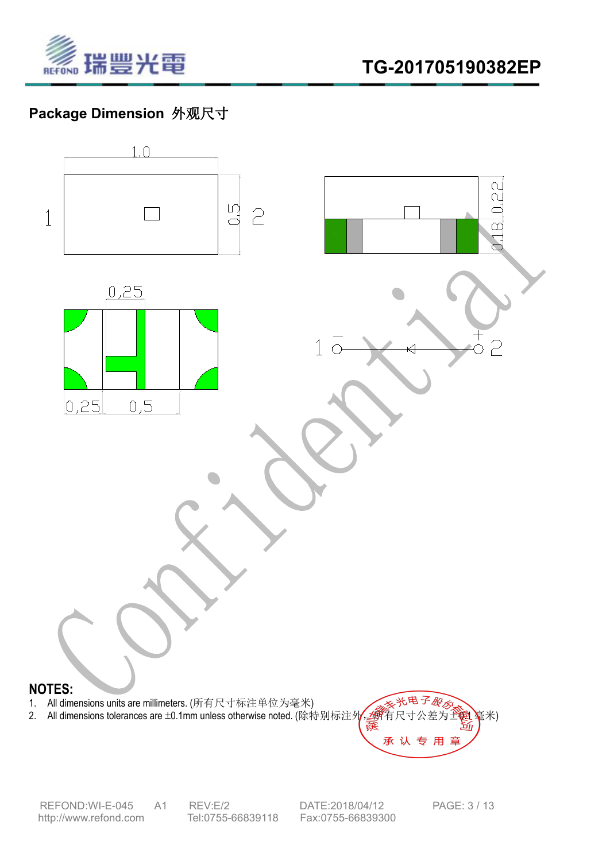

# **Package Dimension** 外观尺寸



REFOND:WI-E-045 A1 REV:E/2 DATE:2018/04/12 PAGE: 3 / 13<br>http://www.refond.com Tel:0755-66839118 Fax:0755-66839300 <http://www.refond.com>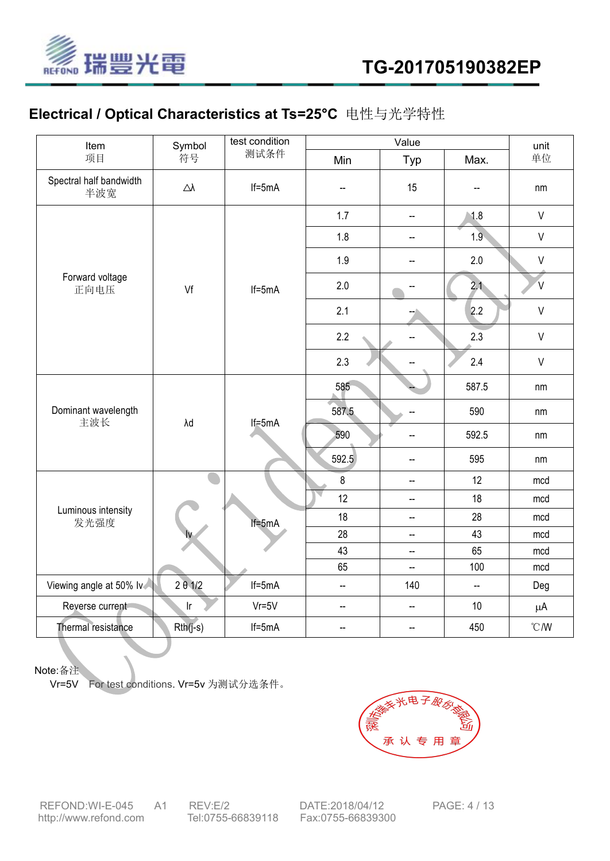

# **Electrical / Optical Characteristics at Ts=25°C** 电性与光学特性

| Item                           | Symbol                     | test condition | Value                    |                          |                          | unit                            |  |
|--------------------------------|----------------------------|----------------|--------------------------|--------------------------|--------------------------|---------------------------------|--|
| 项目                             | 符号                         | 测试条件           | Min                      | Typ                      | Max.                     | 单位                              |  |
| Spectral half bandwidth<br>半波宽 | $\triangle\!\lambda$       | $If=5mA$       | $\overline{\phantom{a}}$ | 15                       | $\overline{\phantom{a}}$ | nm                              |  |
|                                |                            | $If=5mA$       | 1.7                      | $\mathbf{H}$             | 1.8                      | $\vee$                          |  |
|                                |                            |                | 1.8                      | $\overline{\phantom{a}}$ | 1.9                      | $\vee$                          |  |
|                                |                            |                | 1.9                      | $\overline{\phantom{a}}$ | $2.0\,$                  | $\sf V$                         |  |
| Forward voltage<br>正向电压        | Vf                         |                | 2.0                      | $\overline{\phantom{a}}$ | 2.1                      | V.                              |  |
|                                |                            |                | 2.1                      |                          | 2.2                      | $\vee$                          |  |
|                                |                            |                | 2.2                      | $\overline{\phantom{a}}$ | 2.3                      | $\vee$                          |  |
|                                |                            |                | 2.3                      |                          | 2.4                      | $\vee$                          |  |
| Dominant wavelength<br>主波长     | λd                         | $If=5mA$       | 585                      |                          | 587.5                    | nm                              |  |
|                                |                            |                | 587.5                    |                          | 590                      | nm                              |  |
|                                |                            |                | 590                      | $\sim$                   | 592.5                    | nm                              |  |
|                                |                            |                | 592.5                    | $\overline{\phantom{a}}$ | 595                      | nm                              |  |
|                                |                            | $If=5mA$       | $\bf 8$                  | $\overline{\phantom{a}}$ | 12                       | mcd                             |  |
| Luminous intensity<br>发光强度     |                            |                | 12                       | $\overline{\phantom{a}}$ | 18                       | mcd                             |  |
|                                |                            |                | 18                       | $\sim$                   | 28                       | mcd                             |  |
|                                |                            |                | 28                       | $\overline{\phantom{a}}$ | 43                       | mcd                             |  |
|                                |                            |                | 43                       | $\overline{\phantom{a}}$ | 65                       | mcd                             |  |
|                                |                            |                | 65                       | $\sim$                   | 100                      | mcd                             |  |
| Viewing angle at 50% lv        | $2 \theta 1/2$             | $If=5mA$       | $\overline{\phantom{a}}$ | 140                      | $\overline{\phantom{a}}$ | Deg                             |  |
| Reverse current                | $\ensuremath{\mathsf{lr}}$ | $Vr = 5V$      | $\overline{\phantom{a}}$ | $\mathbf{H}$             | $10$                     | $\mu$ A                         |  |
| Thermal resistance             | $Rth(j-s)$                 | $If=5mA$       | $\overline{\phantom{a}}$ | $\mathbf{H}$             | 450                      | $\boldsymbol{C}/\boldsymbol{W}$ |  |

Note:备注

Vr=5V For test conditions. Vr=5v 为测试分选条件。



REFOND:WI-E-045 A1 REV:E/2 DATE:2018/04/12 PAGE: 4 / 13<br>http://www.refond.com Tel:0755-66839118 Fax:0755-66839300 <http://www.refond.com>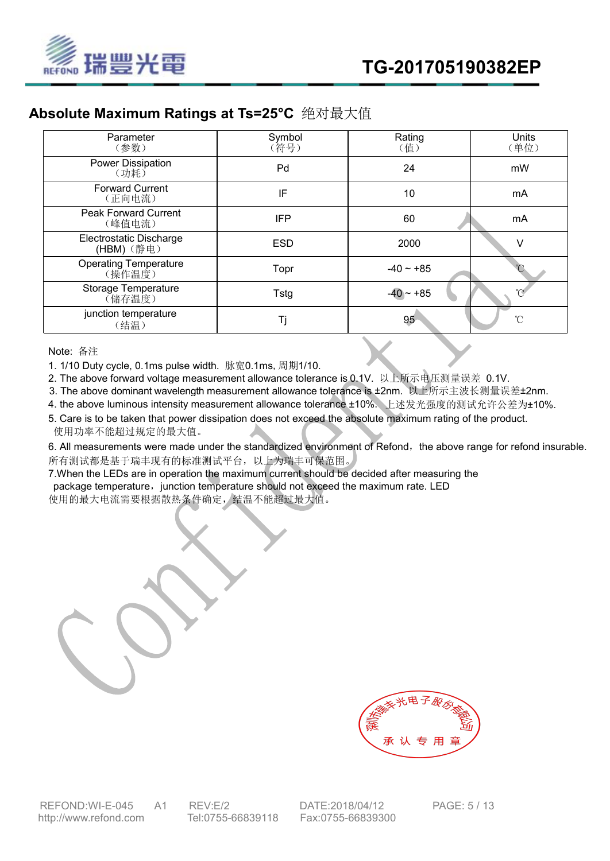

## **Absolute Maximum Ratings at Ts=25°C** 绝对最大值

| Parameter<br>(参数)                      | Symbol<br>(符号) | Rating<br>(值) | Units<br>(单位)       |
|----------------------------------------|----------------|---------------|---------------------|
| Power Dissipation<br>(功耗)              | Pd             | 24            | mW                  |
| <b>Forward Current</b><br>(正向电流)       | IF             | 10            | mA                  |
| <b>Peak Forward Current</b><br>(峰值电流)  | <b>IFP</b>     | 60            | mA                  |
| Electrostatic Discharge<br>(HBM) (静电)  | <b>ESD</b>     | 2000          |                     |
| <b>Operating Temperature</b><br>(操作温度) | Topr           | $-40 - +85$   |                     |
| Storage Temperature<br>(储存温度)          | Tstg           | $-40 - +85$   |                     |
| junction temperature<br>(结温)           | Τj             | $95 -$        | $\hat{\mathcal{C}}$ |

Note: 备注

1. 1/10 Duty cycle, 0.1ms pulse width. 脉宽0.1ms,周期1/10.

2. The above forward voltage measurement allowance tolerance is 0.1V. 以上所示电压测量误差 0.1V.

3. The above dominant wavelength measurement allowance tolerance is ±2nm. 以上所示主波长测量误差±2nm.

4. the above luminous intensity measurement allowance tolerance ±10%. 上述发光强度的测试允许公差为±10%.

5. Care is to be taken that power dissipation does not exceed the absolute maximum rating of the product. 使用功率不能超过规定的最大值。

6. All measurements were made under the standardized environment of Refond, the above range for refond insurable. 所有测试都是基于瑞丰现有的标准测试平台,以上为瑞丰可保范围。

7.When the LEDs are in operation the maximum current should be decided after measuring the package temperature, junction temperature should not exceed the maximum rate. LED 使用的最大电流需要根据散热条件确定,结温不能超过最大值。

承认专用

REFOND:WI-E-045 A1 REV:E/2 DATE:2018/04/12 PAGE: 5 / 13 <http://www.refond.com> Tel:0755-66839118 Fax:0755-66839300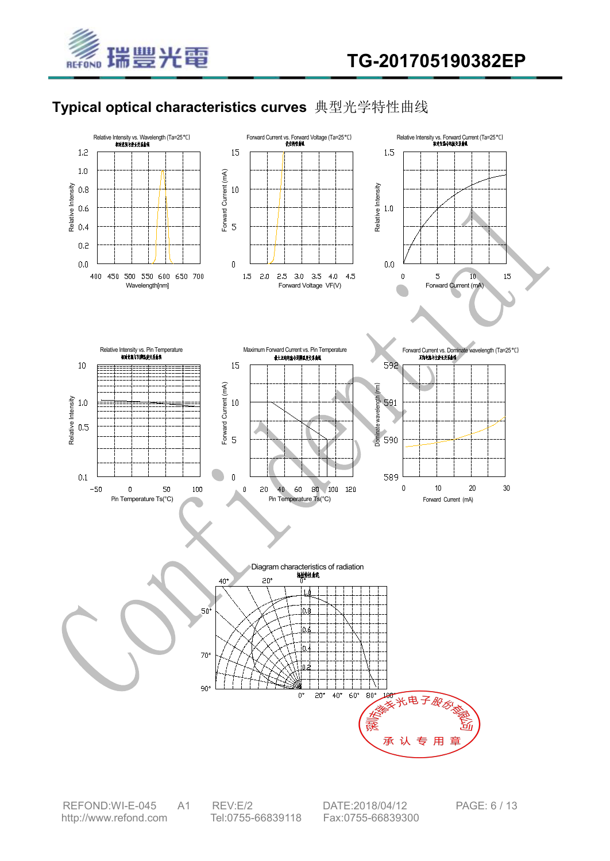

# **Typical optical characteristics curves** 典型光学特性曲线



REFOND:WI-E-045 A1 REV:E/2 DATE:2018/04/12 PAGE: 6 / 13 <http://www.refond.com> Tel:0755-66839118 Fax:0755-66839300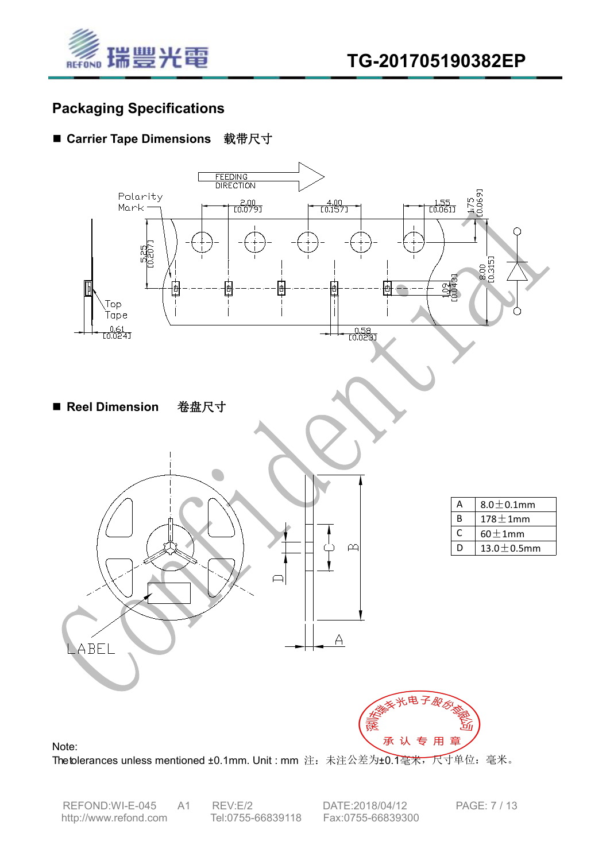

## **Packaging Specifications**

### ■ Carrier Tape Dimensions 载带尺寸



Thetolerances unless mentioned ±0.1mm. Unit : mm 注: 未注公差为±0.1毫米, 尺寸单位: 毫米。

REFOND:WI-E-045 A1 REV:E/2 DATE:2018/04/12 PAGE: 7 / 13 <http://www.refond.com> Tel:0755-66839118 Fax:0755-66839300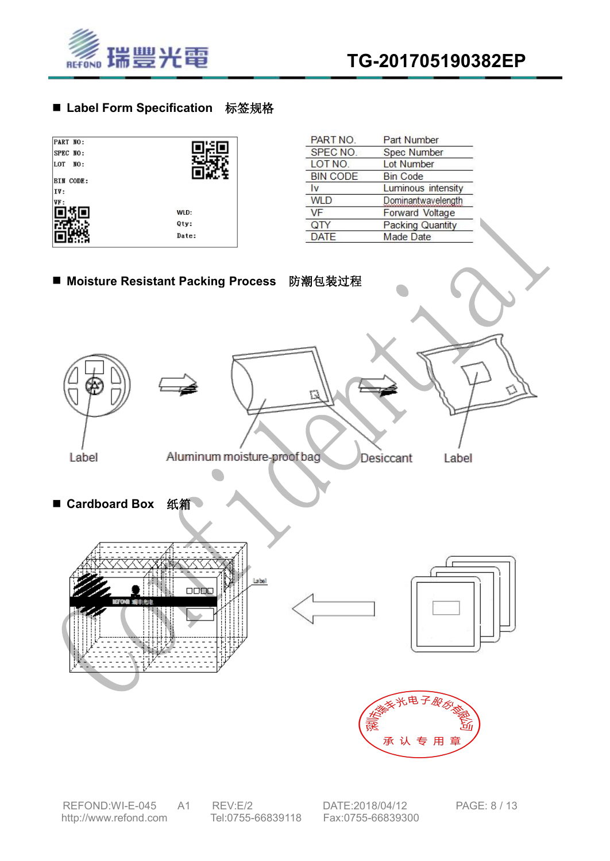



### ■ Label Form Specification 标签规格

| PART NO:<br>SPEC NO:<br>LOT<br>NO: |       |
|------------------------------------|-------|
| <b>BIN CODE:</b><br>IV:            |       |
| VF:                                | WLD:  |
|                                    | Qty:  |
|                                    | Date: |

| PART NO.        | <b>Part Number</b>      |
|-----------------|-------------------------|
| SPEC NO.        | Spec Number             |
| LOT NO.         | <b>Lot Number</b>       |
| <b>BIN CODE</b> | <b>Bin Code</b>         |
| Iv              | Luminous intensity      |
| <b>WLD</b>      | Dominantwavelength      |
| <b>VF</b>       | <b>Forward Voltage</b>  |
| QTY             | <b>Packing Quantity</b> |
| <b>DATE</b>     | Made Date               |



承认专用章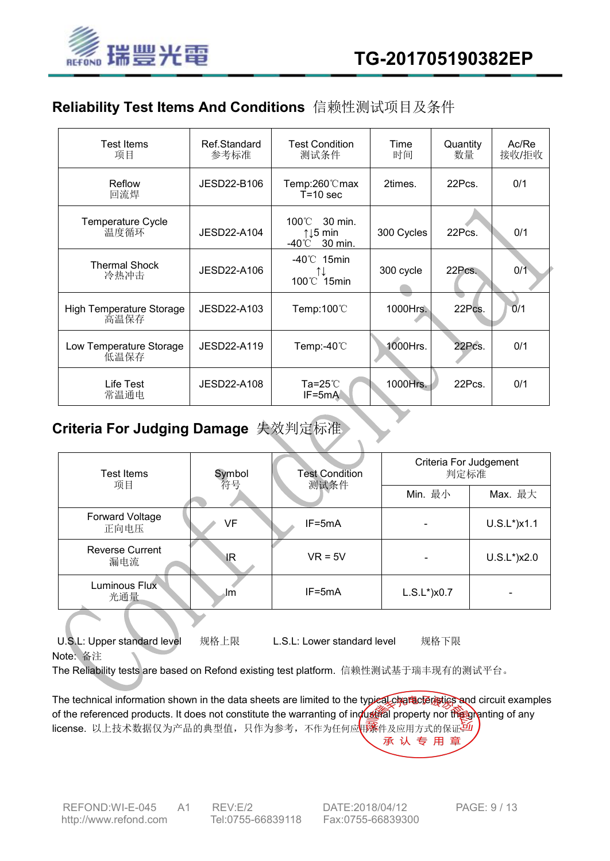

## **Reliability Test Items And Conditions** 信赖性测试项目及条件

| Test Items<br>项目                        | Ref.Standard<br>参考标准 | <b>Test Condition</b><br>测试条件                                   | Time<br>时间 | Quantity<br>数量 | Ac/Re<br>接收/拒收 |
|-----------------------------------------|----------------------|-----------------------------------------------------------------|------------|----------------|----------------|
| Reflow<br>回流焊                           | JESD22-B106          | Temp:260℃max<br>$T = 10$ sec                                    | 2times.    | 22Pcs.         | 0/1            |
| Temperature Cycle<br>温度循环               | JESD22-A104          | 100°C 30 min.<br>$\uparrow \downarrow 5$ min<br>30 min.<br>-40℃ | 300 Cycles | 22Pcs.         | 0/1            |
| <b>Thermal Shock</b><br>冷热冲击            | JESD22-A106          | $-40^{\circ}$ 15min<br>⇅<br>100°C 15min                         | 300 cycle  | 22Pcs.         | 0/1            |
| <b>High Temperature Storage</b><br>高温保存 | JESD22-A103          | Temp:100 $\degree$ C                                            | 1000Hrs.   | 22Pcs.         | 0/1            |
| Low Temperature Storage<br>低温保存         | JESD22-A119          | Temp:-40 $\degree$ C                                            | 1000Hrs.   | 22Pcs.         | 0/1            |
| Life Test<br>常温通电                       | JESD22-A108          | Ta=25 $\degree$ C<br>$IF=5mA$                                   | 1000Hrs.   | 22Pcs.         | 0/1            |

# **Criteria For Judging Damage** 失效判定标准

| Test Items                    | Symbol<br>符号 | <b>Test Condition</b><br>测试条件 | Criteria For Judgement<br>判定标准 |                          |  |
|-------------------------------|--------------|-------------------------------|--------------------------------|--------------------------|--|
| 项目                            |              |                               | Min. 最小                        | Max. 最大                  |  |
| Forward Voltage<br>正向电压       | VF           | $IF=5mA$                      |                                | $U.S.L^*$ ) $x1.1$       |  |
| <b>Reverse Current</b><br>漏电流 | <b>IR</b>    | $VR = 5V$                     |                                | $U.S.L^*$ )x2.0          |  |
| Luminous Flux<br>光通量          | ⊿lm          | $IF=5mA$                      | $L.S.L^*$ ) $x0.7$             | $\overline{\phantom{a}}$ |  |

U.S.L: Upper standard level 规格上限 L.S.L: Lower standard level 规格下限 Note: 备注

The Reliability tests are based on Refond existing test platform. 信赖性测试基于瑞丰现有的测试平台。

The technical information shown in the data sheets are limited to the typical characteristics and circuit examples of the referenced products. It does not constitute the warranting of industrial property nor the granting of any license. 以上技术数据仅为产品的典型值, 只作为参考, 不作为任何应用条件及应用方式的保证 承认专用章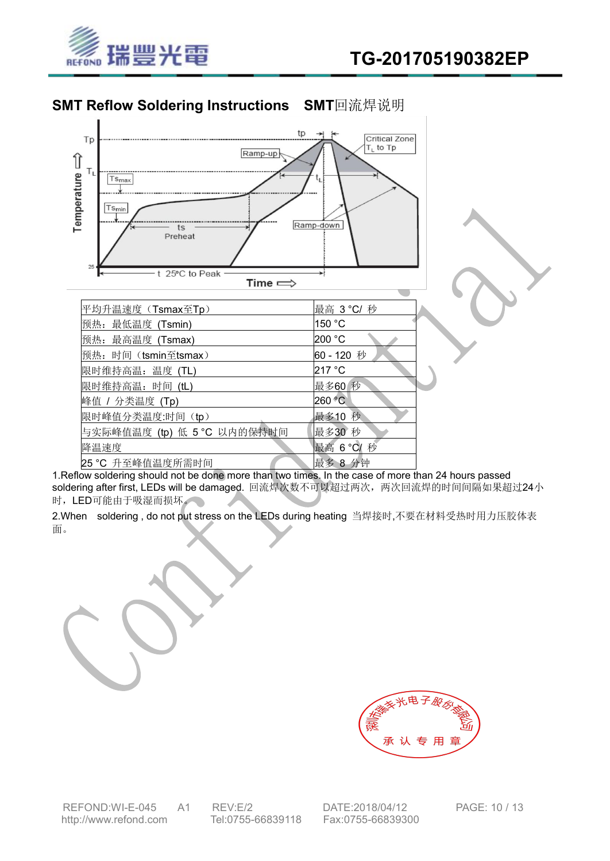

## **SMT Reflow Soldering Instructions SMT**回流焊说明



1.Reflow soldering should not be done more than two times. In the case of more than 24 hours passed soldering after first, LEDs will be damaged. 回流焊次数不可以超过两次, 两次回流焊的时间间隔如果超过24小 时,LED可能由于吸湿而损坏。

2.When soldering, do not put stress on the LEDs during heating 当焊接时,不要在材料受热时用力压胶体表 面。

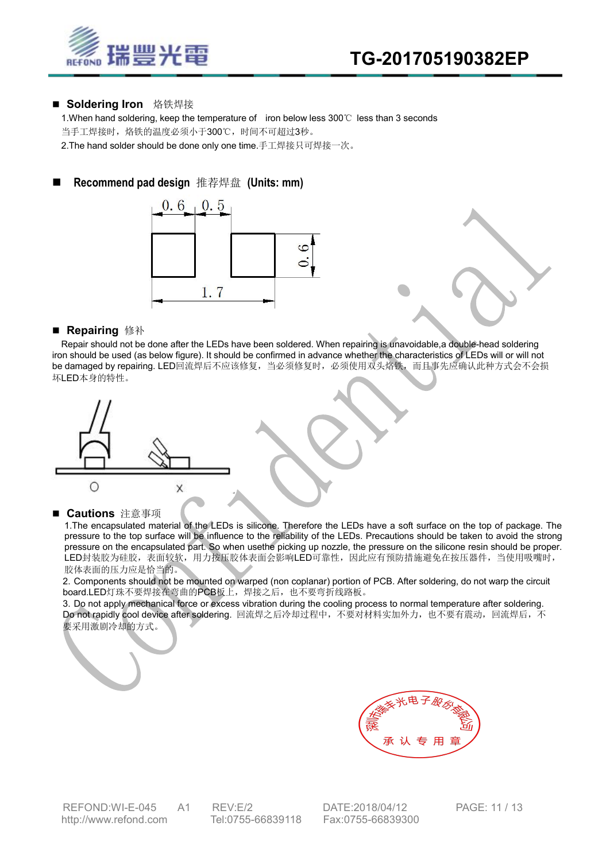

#### ■ Soldering Iron 烙铁焊接

1.When hand soldering, keep the temperature of iron below less 300℃ less than 3 seconds 当手工焊接时, 烙铁的温度必须小于300℃, 时间不可超过3秒。 2.The hand solder should be done only one time.手工焊接只可焊接一次。

### **Recommend pad design** 推荐焊盘 **(Units: mm)**



#### **■ Repairing** 修补

Repair should not be done after the LEDs have been soldered. When repairing is unavoidable,a double-head soldering iron should be used (as below figure). It should be confirmed in advance whether the characteristics of LEDs will or will not be damaged by repairing. LED回流焊后不应该修复,当必须修复时, 必须使用双头烙铁, 而且事先应确认此种方式会不会损 坏LED本身的特性。



#### **■ Cautions** 注意事项

1.The encapsulated material of the LEDs is silicone. Therefore the LEDs have a soft surface on the top of package. The pressure to the top surface will be influence to the reliability of the LEDs. Precautions should be taken to avoid the strong pressure on the encapsulated part. So when usethe picking up nozzle, the pressure on the silicone resin should be proper. LED封装胶为硅胶,表面较软,用力按压胶体表面会影响LED可靠性,因此应有预防措施避免在按压器件,当使用吸嘴时, 胶体表面的压力应是恰当的。

2. Components should not be mounted on warped (non coplanar) portion of PCB. After soldering, do not warp the circuit board.LED灯珠不要焊接在弯曲的PCB板上,焊接之后,也不要弯折线路板。

3. Do not apply mechanical force or excess vibration during the cooling process to normal temperature after soldering. Do not rapidly cool device after soldering. 回流焊之后冷却过程中,不要对材料实加外力,也不要有震动,回流焊后,不 要采用激剧冷却的方式。



REFOND:WI-E-045 A1 REV:E/2 DATE:2018/04/12 PAGE: 11 / 13<br>http://www.refond.com Tel:0755-66839118 Fax:0755-66839300 <http://www.refond.com> Tel:0755-66839118 Fax:0755-66839300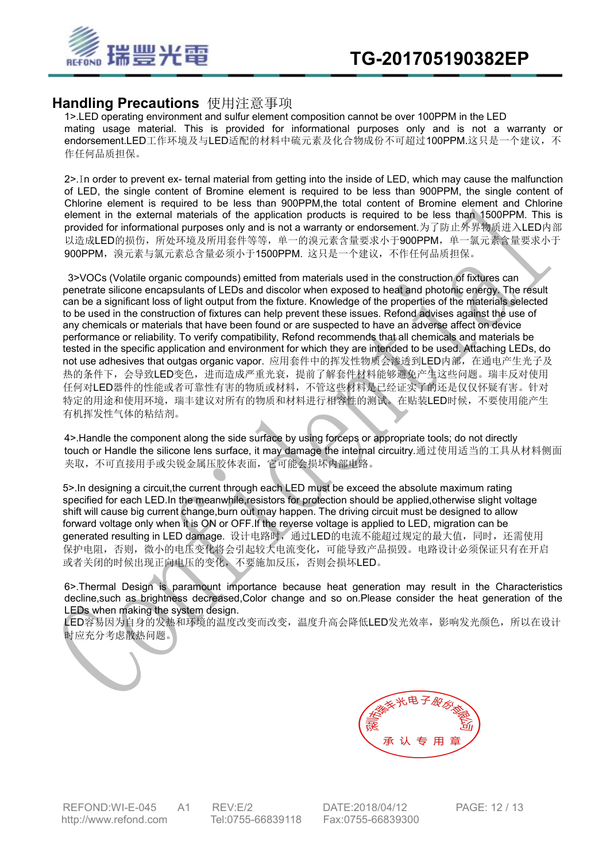

### **Handling Precautions** 使用注意事项

1>.LED operating environment and sulfur element composition cannot be over 100PPM in the LED mating usage material. This is provided for informational purposes only and is not a warranty or endorsement.LED工作环境及与LED适配的材料中硫元素及化合物成份不可超过100PPM.这只是一个建议,不 作任何品质担保。

2>.In order to prevent ex- ternal material from getting into the inside of LED, which may cause the malfunction of LED, the single content of Bromine element is required to be less than 900PPM, the single content of Chlorine element is required to be less than 900PPM,the total content of Bromine element and Chlorine element in the external materials of the application products is required to be less than 1500PPM. This is provided for informational purposes only and is not a warranty or endorsement.为了防止外界物质进入LED内部 以造成LED的损伤,所处环境及所用套件等等,单一的溴元素含量要求小于900PPM,单一氯元素含量要求小于 900PPM,溴元素与氯元素总含量必须小于1500PPM. 这只是一个建议,不作任何品质担保。

3>VOCs (Volatile organic compounds) emitted from materials used in the construction of fixtures can penetrate silicone encapsulants of LEDs and discolor when exposed to heat and photonic energy. The result can be a significant loss of light output from the fixture. Knowledge of the properties of the materials selected to be used in the construction of fixtures can help prevent these issues. Refond advises against the use of any chemicals or materials that have been found or are suspected to have an adverse affect on device performance or reliability. To verify compatibility, Refond recommends that all chemicals and materials be tested in the specific application and environment for which they are intended to be used. Attaching LEDs, do not use adhesives that outgas organic vapor. 应用套件中的挥发性物质会渗透到LED内部, 在通电产生光子及 热的条件下,会导致LED变色,进而造成严重光衰,提前了解套件材料能够避免产生这些问题。瑞丰反对使用 任何对LED器件的性能或者可靠性有害的物质或材料,不管这些材料是已经证实了的还是仅仅怀疑有害。针对 特定的用途和使用环境,瑞丰建议对所有的物质和材料进行相容性的测试。在贴装LED时候,不要使用能产生 有机挥发性气体的粘结剂。

4>.Handle the component along the side surface by using forceps or appropriate tools; do not directly touch or Handle the silicone lens surface, it may damage the internal circuitry.通过使用适当的工具从材料侧面 夹取,不可直接用手或尖锐金属压胶体表面,它可能会损坏内部电路。

5>.In designing a circuit,the current through each LED must be exceed the absolute maximum rating specified for each LED.In the meanwhile,resistors for protection should be applied,otherwise slight voltage shift will cause big current change, burn out may happen. The driving circuit must be designed to allow forward voltage only when it is ON or OFF.If the reverse voltage is applied to LED, migration can be generated resulting in LED damage. 设计电路时, 通过LED的电流不能超过规定的最大值, 同时, 还需使用 保护电阻,否则,微小的电压变化将会引起较大电流变化,可能导致产品损毁。电路设计必须保证只有在开启 或者关闭的时候出现正向电压的变化,不要施加反压,否则会损坏LED。

6>.Thermal Design is paramount importance because heat generation may result in the Characteristics decline, such as brightness decreased, Color change and so on. Please consider the heat generation of the LEDs when making the system design.

LED容易因为自身的发热和环境的温度改变而改变,温度升高会降低LED发光效率,影响发光颜色,所以在设计 时应充分考虑散热问题。



REFOND:WI-E-045 A1 REV:E/2 DATE:2018/04/12 PAGE: 12 / 13<br>http://www.refond.com Tel:0755-66839118 Fax:0755-66839300 <http://www.refond.com> Tel:0755-66839118 Fax:0755-66839300